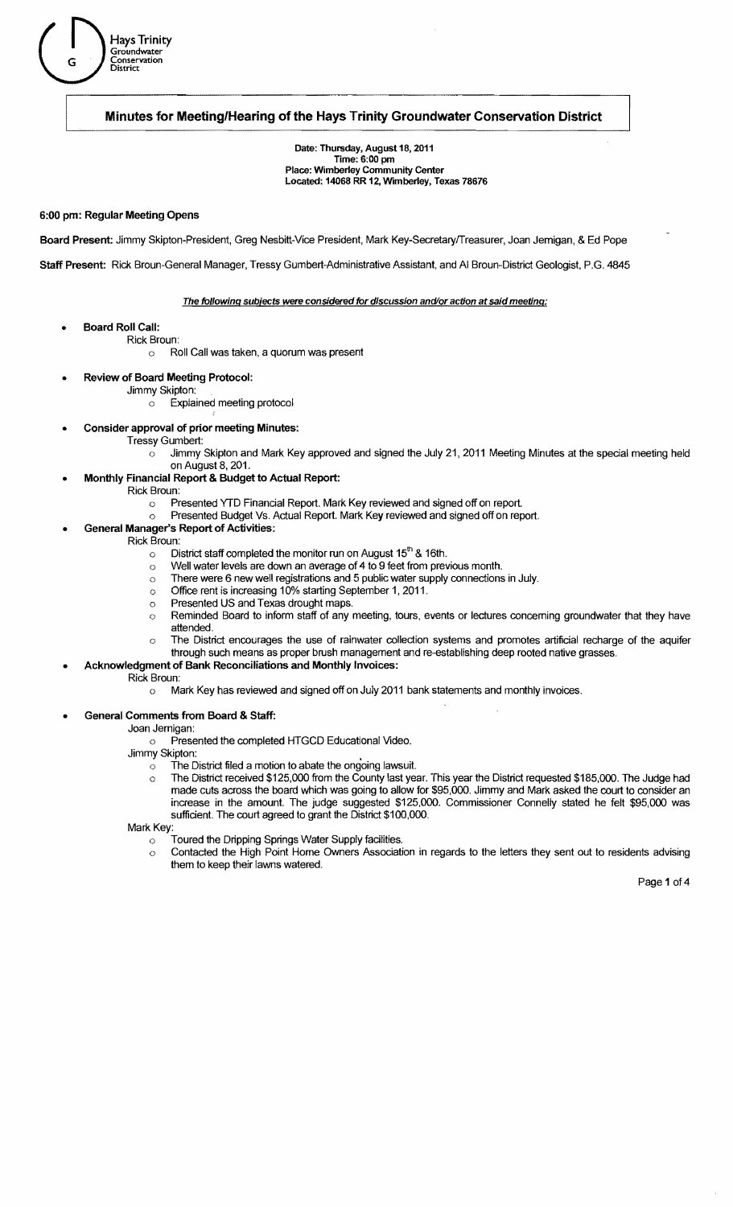

Date: Thursday, August 18, 2011 Time: 6:00 pm Place: Wimberley Community Center Located: 14068 RR 12, Wimberley, Texas 78676

### 6:00 pm: Regular Meeting Opens

Hays Trinity<br>G Conservation<br>District<br>District G . Groundwater Conservation

Board Present: Jimmy Skipton-President, Greg Nesbitt-Vice President, Mark Key-Secretaryffreasurer, Joan Jemigan, & Ed Pope

Staff Present: Rick Broun-General Manager, Tressy Gumbert-Administrative Assistant, and AI Broun-District Geologist, P.G. 4845

### The following subjects were considered for discussion and/or action at said meeting:

- **Board Roll Call:** 
	- Rick Broun:
		- o Roll Call was taken, a quorum was present
- Review of Board Meeting Protocol:
	- Jimmy Skipton:
		- o Explained meeting protocol
- Consider approval of prior meeting Minutes:
	- **Tressy Gumbert:** 
		- $\circ$  Jimmy Skipton and Mark Key approved and signed the July 21, 2011 Meeting Minutes at the special meeting held
	- on August 8, 201.
	- Monthly Financial Report & Budget to Actual Report:
		- Rick Broun:
			- o Presented YTD Financial Report. Mark Key reviewed and signed off on report.
			- o Presented Budget Vs. Actual Report. Mark Key reviewed and signed off on report.
	- General Manager's Report of Activities:
		- Rick Broun:
			- $\circ$  District staff completed the monitor run on August 15<sup>th</sup> & 16th.
			- $\circ$  Well water levels are down an average of 4 to 9 feet from previous month.
			- $\circ$  There were 6 new well registrations and 5 public water supply connections in July.
			- o Office rent is increasing 10% starting September 1, 2011.
			- o Presented US and Texas drought maps.
			- o Reminded Board to inform staff of any meeting, tours, events or lectures concerning groundwater that they have attended.
			- o The District encourages the use of rainwater collection systems and promotes artificial recharge of the aquifer through such means as proper brush management and re-establishing deep rooted native grasses.

# Acknowledgment of Bank Reconciliations and Monthly Invoices:

- Rick Broun:
	- o Mark Key has reviewed and signed off on July 2011 bank statements and monthly invoices.

### General Comments from Board & Staff:

Joan Jemigan:

o Presented the completed HTGCD Educational Video.

Jimmy Skipton:

- $\circ$  The District filed a motion to abate the ongoing lawsuit.
- o The District received \$125,000 from the County last year. This year the District requested \$185,000. The Judge had made cuts across the board which was going to allow for \$95,000. Jimmy and Mark asked the court to consider an increase in the amount. The judge suggested \$125,000. Commissioner Connelly stated he felt \$95,000 was sufficient. The court agreed to grant the District \$100,000.

Mark Key:

- o Toured the Dripping Springs Water Supply facilities.
- $\circ$  Contacted the High Point Home Owners Association in regards to the letters they sent out to residents advising them to keep their lawns watered.

Page 1 of 4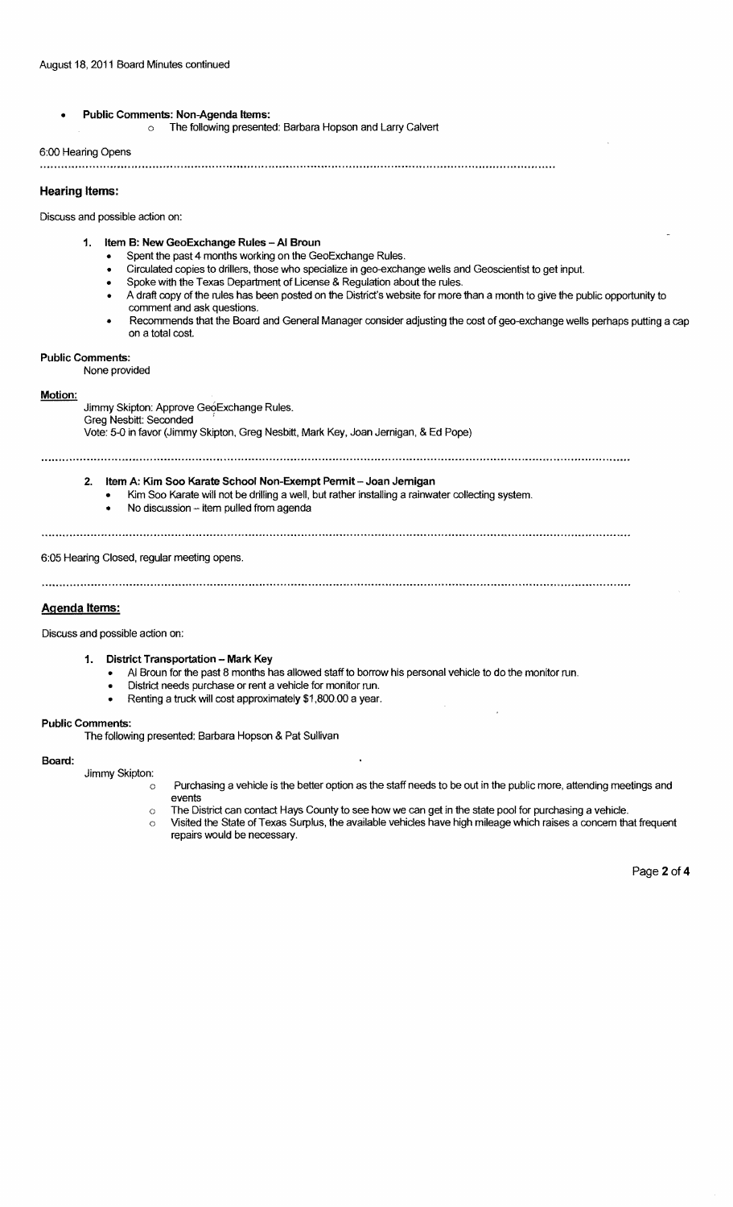# Public Comments: Non-Agenda Items: o The following presented: Barbara Hopson and Larry Calvert

# 6:00 Hearing Opens

## **Hearing Items:**

Discuss and possible action on:

- 1. Item B: New GeoExchange Rules AI Broun
	- Spent the past 4 months working on the GeoExchange Rules.
	- Circulated copies to drillers, those who specialize in geo-exchange wells and Geoscientist to get input.
	- Spoke with the Texas Department of License & Regulation about the rules.
	- A draft copy of the rules has been posted on the District's website for more than a month to give the public opportunity to comment and ask questions.
	- Recommends that the Board and General Manager consider adjusting the cost of geo-exchange wells perhaps putting a cap on a total cost.

# Public Comments:

None provided

### Motion:

Jimmy Skipton: Approve GeoExchange Rules. Greg Nesbitt: Seconded . Vote: 5-0 in favor (Jimmy Skipton, Greg Nesbitt, Mark Key, Joan Jernigan, & Ed Pope)

- 2. Item A: Kim Soo Karate School Non-Exempt Permit Joan Jernigan Kim Soo Karate will not be drilling a well, but rather installing a rainwater collecting system.
	- No discussion -- item pulled from agenda
	-

6:05 Hearing Closed, regular meeting opens.

### Agenda Items:

Discuss and possible action on:

- 1. District Transportation Mark Key
	- AI Broun for the past 8 months has allowed staff to borrow his personal vehicle to do the monitor run.
	- District needs purchase or rent a vehicle for monitor run.
	- Renting a truck will cost approximately \$1,800.00 a year.

### Public Comments:

The following presented: Barbara Hopson & Pat Sullivan

### Board:

Jimmy Skipton:

- o Purchasing a vehicle is the better option as the staff needs to be out in the public more, attending meetings and events
- $\circ$  The District can contact Hays County to see how we can get in the state pool for purchasing a vehicle.
- $\circ$  Visited the State of Texas Surplus, the available vehicles have high mileage which raises a concern that frequent repairs would be necessary.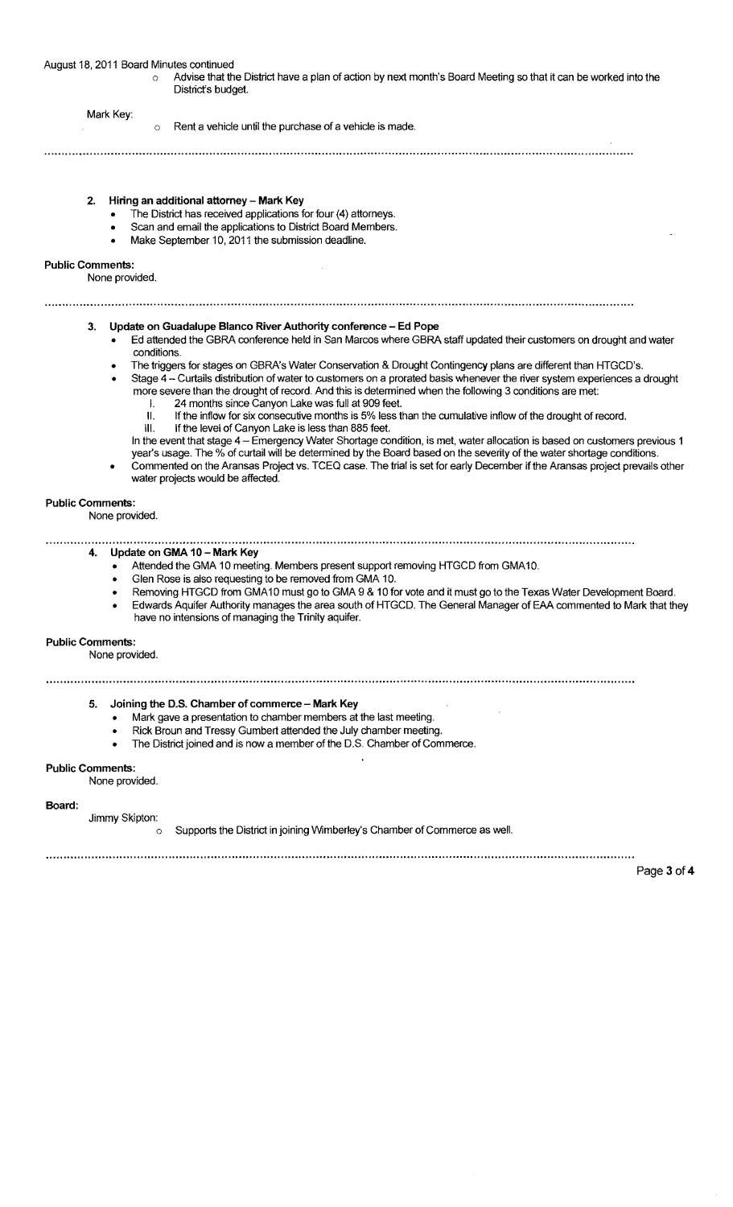$\circ$  Advise that the District have a plan of action by next month's Board Meeting so that it can be worked into the District's budget.

#### Mark Key:

 $\circ$  Rent a vehicle until the purchase of a vehicle is made.

### 2. Hiring an additional attorney - Mark Key

- The District has received applications for four (4) attorneys.
- Scan and email the applications to District Board Members.
- Make September 10, 2011 the submission deadline.

### Public Comments:

None provided.

## 3. Update on Guadalupe Blanco River Authority conference - Ed Pope

- Ed attended the GBRA conference held in San Marcos where GBRA staff updated their customers on drought and water conditions.
- The triggers for stages on GBRA's Water Conservation & Drought Contingency plans are different than HTGCD's.

- Stage 4 Curtails distribution of water to customers on a prorated basis whenever the river system experiences a drought more severe than the drought of record. And this is determined when the following 3 conditions are met:
	- I. 24 months since Canyon Lake was full at 909 feet.
	- II. If the inflow for six consecutive months is 5% less than the cumulative inflow of the drought of record. III. If the level of Canyon Lake is less than 885 feet.
	- In the event that stage 4 Emergency Water Shortage condition, is met, water allocation is based on customers previous 1 year's usage. The % of curtail will be determined by the Board based on the severity of the water shortage conditions.
- Commented on the Aransas Project vs. TCEQ case. The trial is set for early December if the Aransas project prevails other water projects would be affected.

### Public Comments:

### None provided.

#### 4. Update on GMA 10 - Mark Key

- Attended the GMA 10 meeting. Members present support removing HTGCD from GMA10.
- Glen Rose is also requesting to be removed from GMA 10.
- Removing HTGCD from GMA10 must go to GMA 9 & 10 for vote and it must go to the Texas Water Development Board.
- Edwards Aquifer Authority manages the area south of HTGCD. The General Manager of EAA commented to Mark that they have no intensions of managing the Trinity aquifer.

### Public Comments:

None provided.

### 

### 5. Joining the D.S. Chamber of commerce - Mark Key

- Mark gave a presentation to chamber members at the last meeting.
- Rick Broun and Tressy Gumbert attended the July chamber meeting.
- The District joined and is now a member of the D.S. Chamber of Commerce.

### Public Comments:

None provided.

#### Board:

Jimmy Skipton:

o Supports the District in joining Wimberley's Chamber of Commerce as well.

Page 3 of 4